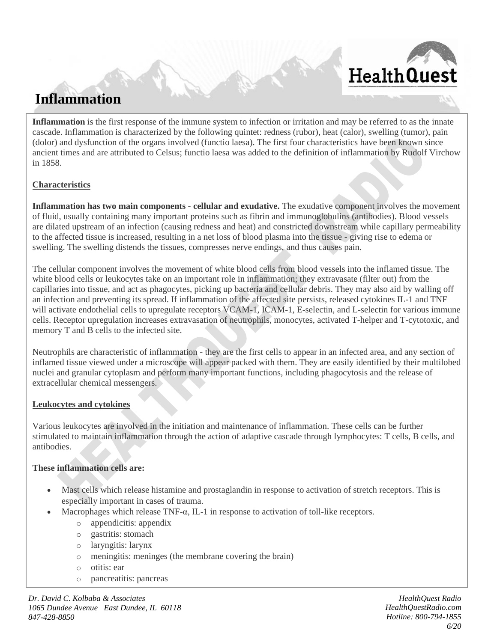# **Inflammation**

**HealthQuest** 

**Inflammation** is the first response of the immune system to infection or irritation and may be referred to as the innate cascade. Inflammation is characterized by the following quintet: redness (rubor), heat (calor), swelling (tumor), pain (dolor) and dysfunction of the organs involved (functio laesa). The first four characteristics have been known since ancient times and are attributed to Celsus; functio laesa was added to the definition of inflammation by Rudolf Virchow in 1858.

# **Characteristics**

**Inflammation has two main components - cellular and exudative.** The exudative component involves the movement of fluid, usually containing many important proteins such as fibrin and immunoglobulins (antibodies). Blood vessels are dilated upstream of an infection (causing redness and heat) and constricted downstream while capillary permeability to the affected tissue is increased, resulting in a net loss of blood plasma into the tissue - giving rise to edema or swelling. The swelling distends the tissues, compresses nerve endings, and thus causes pain.

The cellular component involves the movement of white blood cells from blood vessels into the inflamed tissue. The white blood cells or leukocytes take on an important role in inflammation; they extravasate (filter out) from the capillaries into tissue, and act as phagocytes, picking up bacteria and cellular debris. They may also aid by walling off an infection and preventing its spread. If inflammation of the affected site persists, released cytokines IL-1 and TNF will activate endothelial cells to upregulate receptors VCAM-1, ICAM-1, E-selectin, and L-selectin for various immune cells. Receptor upregulation increases extravasation of neutrophils, monocytes, activated T-helper and T-cytotoxic, and memory T and B cells to the infected site.

Neutrophils are characteristic of inflammation - they are the first cells to appear in an infected area, and any section of inflamed tissue viewed under a microscope will appear packed with them. They are easily identified by their multilobed nuclei and granular cytoplasm and perform many important functions, including phagocytosis and the release of extracellular chemical messengers.

# **Leukocytes and cytokines**

Various leukocytes are involved in the initiation and maintenance of inflammation. These cells can be further stimulated to maintain inflammation through the action of adaptive cascade through lymphocytes: T cells, B cells, and antibodies.

# **These inflammation cells are:**

• Mast cells which release histamine and prostaglandin in response to activation of stretch receptors. This is especially important in cases of trauma.

o Related Supplements & Accessories: Your Health Number Kit I, Your Health Number Kit II, Your

- Macrophages which release TNF- $\alpha$ , IL-1 in response to activation of toll-like receptors.
	- o appendicitis: appendix
	- o gastritis: stomach
	- o laryngitis: larynx
	- o meningitis: meninges (the membrane covering the brain)
	- o otitis: ear
	- o pancreatitis: pancreas

*HealthQuest Radio* **HealthQuest Radio HealthQuest Radio** *Dr. David C. Kolbaba & Associates* 1065 Dundee Avenue East Dundee, *IL 60118 847-428-8850*  $\mathbf{H}$ 

*[HealthQuestRadio.com](http://www.healthquestradio.com/) Hotline: 800-794-1855 6/20*